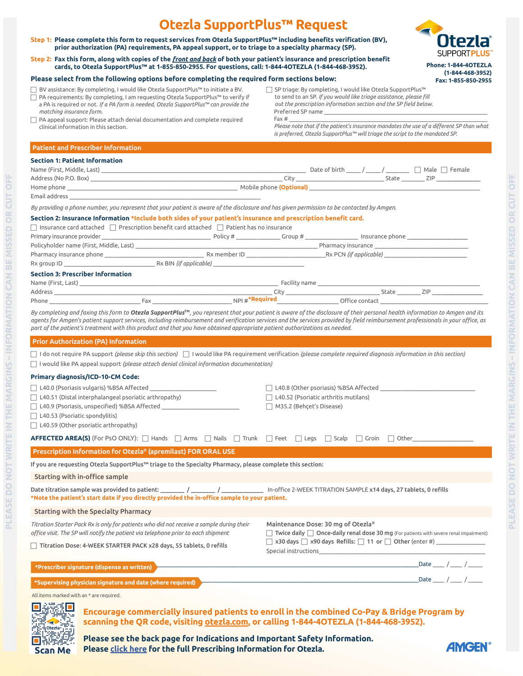# **Otezla SupportPlus™ Request**

Step 1: Please complete this form to request services from Otezla SupportPlus™ including benefits verification (BV), prior authorization (PA) requirements, PA appeal support, or to triage to a specialty pharmacy (SP).

Step 2: Fax this form, along with copies of the *front and back* of both your patient's insurance and prescription benefit cards, to Otezla SupportPlus<sup>TM</sup> at 1-855-850-2955. For questions, call: 1-844-40TEZLA (1-844-468-3952).

#### Please select from the following options before completing the required form sections below:

FBV assistance: By completing, I would like Otezla SupportPlus™ to initiate a BV. F PA requirements: By completing, I am requesting Otezla SupportPlus™ to verify if a PA is required or not. *If a PA form is needed, Otezla SupportPlus™ can provide the* 

F SP triage: By completing, I would like Otezla SupportPlus™ to send to an SP. If you would like triage assistance, please fill out the prescription information section and the SP field below. Preferred SP name Fax  $\#$ Please note that if the patient's insurance mandates the use of a different SP than what

*is preferred, Otezla SupportPlus™ will triage the script to the mandated SP.*

 $\Box$  PA appeal support: Please attach denial documentation and complete required clinical information in this section.

#### **Patient and Prescriber Information**

#### **Section 1: Patient Information**

*matching insurance form.*

| <b>Section 1: Patient Information</b>                                                                                                                                                                                                                                                                                                                                                                                                                                                         |                                                                                                                                                                                                                     |                                              |                                                                                                                                                                                                                                |  |  |  |                                                  |
|-----------------------------------------------------------------------------------------------------------------------------------------------------------------------------------------------------------------------------------------------------------------------------------------------------------------------------------------------------------------------------------------------------------------------------------------------------------------------------------------------|---------------------------------------------------------------------------------------------------------------------------------------------------------------------------------------------------------------------|----------------------------------------------|--------------------------------------------------------------------------------------------------------------------------------------------------------------------------------------------------------------------------------|--|--|--|--------------------------------------------------|
| Name (First, Middle, Last) __                                                                                                                                                                                                                                                                                                                                                                                                                                                                 |                                                                                                                                                                                                                     |                                              | ______ Date of birth _____ / ______ / ________ □ Male □ Female                                                                                                                                                                 |  |  |  |                                                  |
|                                                                                                                                                                                                                                                                                                                                                                                                                                                                                               |                                                                                                                                                                                                                     |                                              |                                                                                                                                                                                                                                |  |  |  |                                                  |
| Mobile phone (Optional) Mobile phone (Optional)<br>Home phone                                                                                                                                                                                                                                                                                                                                                                                                                                 |                                                                                                                                                                                                                     |                                              |                                                                                                                                                                                                                                |  |  |  |                                                  |
| Email address                                                                                                                                                                                                                                                                                                                                                                                                                                                                                 |                                                                                                                                                                                                                     |                                              |                                                                                                                                                                                                                                |  |  |  |                                                  |
| By providing a phone number, you represent that your patient is aware of the disclosure and has given permission to be contacted by Amgen.                                                                                                                                                                                                                                                                                                                                                    |                                                                                                                                                                                                                     |                                              |                                                                                                                                                                                                                                |  |  |  |                                                  |
| Section 2: Insurance Information *Include both sides of your patient's insurance and prescription benefit card.                                                                                                                                                                                                                                                                                                                                                                               |                                                                                                                                                                                                                     |                                              |                                                                                                                                                                                                                                |  |  |  |                                                  |
| $\Box$ Insurance card attached $\Box$ Prescription benefit card attached $\Box$ Patient has no insurance                                                                                                                                                                                                                                                                                                                                                                                      |                                                                                                                                                                                                                     |                                              |                                                                                                                                                                                                                                |  |  |  |                                                  |
| Primary insurance provider <b>Example 2018</b> Contract the Contract Policy # <u>Contract Contract Contract Contract Contract Contract Contract Contract Contract Contract Contract Contract Contract Contract Contract Contract Cont</u>                                                                                                                                                                                                                                                     |                                                                                                                                                                                                                     |                                              |                                                                                                                                                                                                                                |  |  |  |                                                  |
|                                                                                                                                                                                                                                                                                                                                                                                                                                                                                               |                                                                                                                                                                                                                     |                                              |                                                                                                                                                                                                                                |  |  |  |                                                  |
| Pharmacy insurance phone example the state of the state of the RX member ID RX New York ( <i>if applicable</i> )                                                                                                                                                                                                                                                                                                                                                                              |                                                                                                                                                                                                                     |                                              |                                                                                                                                                                                                                                |  |  |  |                                                  |
| Rx group ID <b>Rx BIN</b> (if applicable)                                                                                                                                                                                                                                                                                                                                                                                                                                                     |                                                                                                                                                                                                                     |                                              |                                                                                                                                                                                                                                |  |  |  |                                                  |
| <b>Section 3: Prescriber Information</b>                                                                                                                                                                                                                                                                                                                                                                                                                                                      |                                                                                                                                                                                                                     |                                              |                                                                                                                                                                                                                                |  |  |  |                                                  |
|                                                                                                                                                                                                                                                                                                                                                                                                                                                                                               |                                                                                                                                                                                                                     |                                              |                                                                                                                                                                                                                                |  |  |  |                                                  |
|                                                                                                                                                                                                                                                                                                                                                                                                                                                                                               |                                                                                                                                                                                                                     |                                              |                                                                                                                                                                                                                                |  |  |  |                                                  |
|                                                                                                                                                                                                                                                                                                                                                                                                                                                                                               |                                                                                                                                                                                                                     |                                              |                                                                                                                                                                                                                                |  |  |  |                                                  |
| By completing and faxing this form to Otezla SupportPlus™, you represent that your patient is aware of the disclosure of their personal health information to Amgen and its<br>agents for Amgen's patient support services, including reimbursement and verification services and the services provided by field reimbursement professionals in your office, as<br>part of the patient's treatment with this product and that you have obtained appropriate patient authorizations as needed. |                                                                                                                                                                                                                     |                                              |                                                                                                                                                                                                                                |  |  |  |                                                  |
| <b>Prior Authorization (PA) Information</b>                                                                                                                                                                                                                                                                                                                                                                                                                                                   |                                                                                                                                                                                                                     |                                              |                                                                                                                                                                                                                                |  |  |  |                                                  |
| $\Box$ I do not require PA support (please skip this section) $\Box$ I would like PA requirement verification (please complete required diagnosis information in this section)                                                                                                                                                                                                                                                                                                                |                                                                                                                                                                                                                     |                                              |                                                                                                                                                                                                                                |  |  |  |                                                  |
| $\Box$ I would like PA appeal support (please attach denial clinical information documentation)                                                                                                                                                                                                                                                                                                                                                                                               |                                                                                                                                                                                                                     |                                              |                                                                                                                                                                                                                                |  |  |  |                                                  |
|                                                                                                                                                                                                                                                                                                                                                                                                                                                                                               |                                                                                                                                                                                                                     |                                              |                                                                                                                                                                                                                                |  |  |  |                                                  |
| Primary diagnosis/ICD-10-CM Code:                                                                                                                                                                                                                                                                                                                                                                                                                                                             |                                                                                                                                                                                                                     |                                              |                                                                                                                                                                                                                                |  |  |  |                                                  |
| $\Box$ L40.0 (Psoriasis vulgaris) %BSA Affected                                                                                                                                                                                                                                                                                                                                                                                                                                               |                                                                                                                                                                                                                     |                                              | $\Box$ L40.8 (Other psoriasis) %BSA Affected                                                                                                                                                                                   |  |  |  |                                                  |
| $\Box$ L40.51 (Distal interphalangeal psoriatic arthropathy)                                                                                                                                                                                                                                                                                                                                                                                                                                  |                                                                                                                                                                                                                     | $\Box$ L40.52 (Psoriatic arthritis mutilans) |                                                                                                                                                                                                                                |  |  |  |                                                  |
| $\Box$ L40.9 (Psoriasis, unspecified) %BSA Affected                                                                                                                                                                                                                                                                                                                                                                                                                                           |                                                                                                                                                                                                                     | $\Box$ M35.2 (Behçet's Disease)              |                                                                                                                                                                                                                                |  |  |  |                                                  |
| $\Box$ L40.53 (Psoriatic spondylitis)                                                                                                                                                                                                                                                                                                                                                                                                                                                         |                                                                                                                                                                                                                     |                                              |                                                                                                                                                                                                                                |  |  |  |                                                  |
| $\Box$ L40.59 (Other psoriatic arthropathy)                                                                                                                                                                                                                                                                                                                                                                                                                                                   |                                                                                                                                                                                                                     |                                              |                                                                                                                                                                                                                                |  |  |  |                                                  |
| <b>AFFECTED AREA(S)</b> (For PsO ONLY): □ Hands □ Arms □ Nails □ Trunk  □ Feet  □ Legs  □ Scalp  □ Groin  □ Other                                                                                                                                                                                                                                                                                                                                                                             |                                                                                                                                                                                                                     |                                              |                                                                                                                                                                                                                                |  |  |  |                                                  |
| Prescription Information for Otezla® (apremilast) FOR ORAL USE                                                                                                                                                                                                                                                                                                                                                                                                                                |                                                                                                                                                                                                                     |                                              |                                                                                                                                                                                                                                |  |  |  |                                                  |
| If you are requesting Otezla SupportPlus™ triage to the Specialty Pharmacy, please complete this section:                                                                                                                                                                                                                                                                                                                                                                                     |                                                                                                                                                                                                                     |                                              |                                                                                                                                                                                                                                |  |  |  |                                                  |
| Starting with in-office sample                                                                                                                                                                                                                                                                                                                                                                                                                                                                |                                                                                                                                                                                                                     |                                              |                                                                                                                                                                                                                                |  |  |  |                                                  |
| Date titration sample was provided to patient: ________ / ________ / ____________ In-office 2-WEEK TITRATION SAMPLE x14 days, 27 tablets, 0 refills<br>Note the patient's start date if you directly provided the in-office sample to your patient.*                                                                                                                                                                                                                                          |                                                                                                                                                                                                                     |                                              |                                                                                                                                                                                                                                |  |  |  |                                                  |
| <b>Starting with the Specialty Pharmacy</b>                                                                                                                                                                                                                                                                                                                                                                                                                                                   |                                                                                                                                                                                                                     |                                              |                                                                                                                                                                                                                                |  |  |  |                                                  |
| Titration Starter Pack Rx is only for patients who did not receive a sample during their<br>office visit. The SP will notify the patient via telephone prior to each shipment                                                                                                                                                                                                                                                                                                                 | Maintenance Dose: 30 mg of Otezla®<br>$\Box$ Twice daily $\Box$ Once-daily renal dose 30 mg (For patients with severe renal impairment)<br>□ x30 days □ x90 days Refills: □ 11 or □ Other (enter #) _______________ |                                              |                                                                                                                                                                                                                                |  |  |  |                                                  |
| Titration Dose: 4-WEEK STARTER PACK x28 days, 55 tablets, 0 refills                                                                                                                                                                                                                                                                                                                                                                                                                           |                                                                                                                                                                                                                     |                                              | Special instructions and the state of the state of the state of the state of the state of the state of the state of the state of the state of the state of the state of the state of the state of the state of the state of th |  |  |  |                                                  |
| *Prescriber signature (dispense as written)                                                                                                                                                                                                                                                                                                                                                                                                                                                   |                                                                                                                                                                                                                     |                                              |                                                                                                                                                                                                                                |  |  |  | $\frac{1}{2}$ Date $\frac{1}{2}$ / $\frac{1}{2}$ |
| *Supervising physician signature and date (where required)                                                                                                                                                                                                                                                                                                                                                                                                                                    |                                                                                                                                                                                                                     |                                              |                                                                                                                                                                                                                                |  |  |  | Date ___ / ___ / ___                             |

All items marked with an \* are required.



**PLEASE DO NOT WRITE IN THE MARGINS – INFORMATION CAN BE MISSED OR CUT OFF**

PLEASE DO NOT WRITE IN THE MARGINS - INFORMATION CAN BE MISSED OR CUT OFF

Encourage commercially insured patients to enroll in the combined Co-Pay & Bridge Program by scanning the QR code, visiting otezla.com, or calling 1-844-4OTEZLA (1-844-468-3952).

Please see the back page for Indications and Important Safety Information. **Please** [click here](https://www.pi.amgen.com/~/media/amgen/repositorysites/pi-amgen-com/otezla/otezla_pi_english.ashx) for the full Prescribing Information for Otezla.



**Phone: 1-844-4OTEZLA** (1-844-468-3952) Fax: 1-855-850-2955